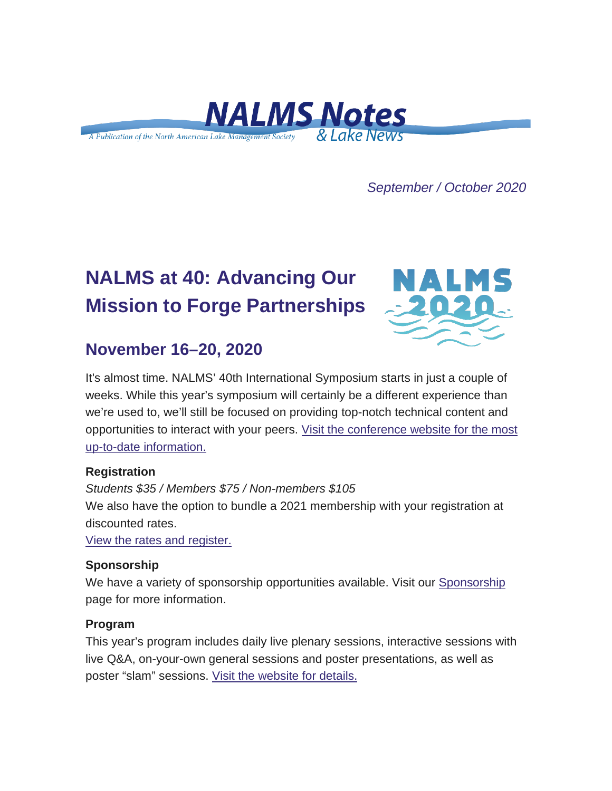

*September / October 2020*

# **NALMS at 40: Advancing Our Mission to Forge Partnerships**



## **November 16–20, 2020**

It's almost time. NALMS' 40th International Symposium starts in just a couple of weeks. While this year's symposium will certainly be a different experience than we're used to, we'll still be focused on providing top-notch technical content and opportunities to interact with your peers. [Visit the conference website for the most](https://urldefense.com/v3/__https:/nalms.us11.list-manage.com/track/click?u=dea191c828e06b171edfc6fe6&id=e813ba3af4&e=d5d3c21044__;!!HXCxUKc!jLWSOUJL1H9O2QZ7rSTv9F2ZIckE55Bb3HeiitJBJZPeO2139kD4p68AtgbZNoNU$)  [up-to-date information.](https://urldefense.com/v3/__https:/nalms.us11.list-manage.com/track/click?u=dea191c828e06b171edfc6fe6&id=e813ba3af4&e=d5d3c21044__;!!HXCxUKc!jLWSOUJL1H9O2QZ7rSTv9F2ZIckE55Bb3HeiitJBJZPeO2139kD4p68AtgbZNoNU$)

### **Registration**

*Students \$35 / Members \$75 / Non-members \$105* We also have the option to bundle a 2021 membership with your registration at discounted rates.

[View the rates and register.](https://urldefense.com/v3/__https:/nalms.us11.list-manage.com/track/click?u=dea191c828e06b171edfc6fe6&id=fc2c88267a&e=d5d3c21044__;!!HXCxUKc!jLWSOUJL1H9O2QZ7rSTv9F2ZIckE55Bb3HeiitJBJZPeO2139kD4p68Atp9_-Rnr$)

### **Sponsorship**

We have a variety of sponsorship opportunities available. Visit our [Sponsorship](https://urldefense.com/v3/__https:/nalms.us11.list-manage.com/track/click?u=dea191c828e06b171edfc6fe6&id=2fe9b19e68&e=d5d3c21044__;!!HXCxUKc!jLWSOUJL1H9O2QZ7rSTv9F2ZIckE55Bb3HeiitJBJZPeO2139kD4p68AtoEQdo3e$) page for more information.

### **Program**

This year's program includes daily live plenary sessions, interactive sessions with live Q&A, on-your-own general sessions and poster presentations, as well as poster "slam" sessions. [Visit the website for details.](https://urldefense.com/v3/__https:/nalms.us11.list-manage.com/track/click?u=dea191c828e06b171edfc6fe6&id=9d8fcc4242&e=d5d3c21044__;!!HXCxUKc!jLWSOUJL1H9O2QZ7rSTv9F2ZIckE55Bb3HeiitJBJZPeO2139kD4p68AtuxW7T-B$)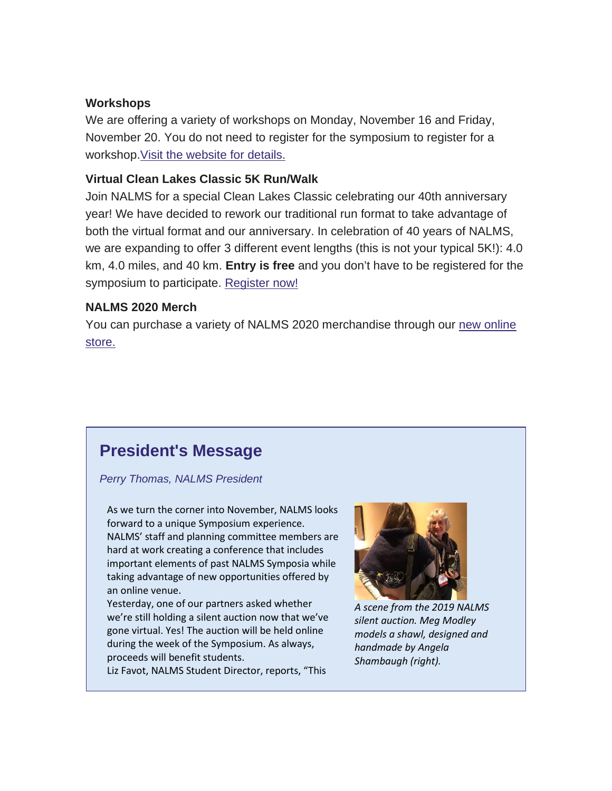### **Workshops**

We are offering a variety of workshops on Monday, November 16 and Friday, November 20. You do not need to register for the symposium to register for a workshop. Visit the website for details.

### **Virtual Clean Lakes Classic 5K Run/Walk**

Join NALMS for a special Clean Lakes Classic celebrating our 40th anniversary year! We have decided to rework our traditional run format to take advantage of both the virtual format and our anniversary. In celebration of 40 years of NALMS, we are expanding to offer 3 different event lengths (this is not your typical 5K!): 4.0 km, 4.0 miles, and 40 km. **Entry is free** and you don't have to be registered for the symposium to participate. [Register now!](https://urldefense.com/v3/__https:/nalms.us11.list-manage.com/track/click?u=dea191c828e06b171edfc6fe6&id=e2f1605596&e=d5d3c21044__;!!HXCxUKc!jLWSOUJL1H9O2QZ7rSTv9F2ZIckE55Bb3HeiitJBJZPeO2139kD4p68AtpEfwhvS$)

### **NALMS 2020 Merch**

You can purchase a variety of NALMS 2020 merchandise through our [new online](https://urldefense.com/v3/__https:/nalms.us11.list-manage.com/track/click?u=dea191c828e06b171edfc6fe6&id=bd87459d2a&e=d5d3c21044__;!!HXCxUKc!jLWSOUJL1H9O2QZ7rSTv9F2ZIckE55Bb3HeiitJBJZPeO2139kD4p68Atmes6LFN$)  [store.](https://urldefense.com/v3/__https:/nalms.us11.list-manage.com/track/click?u=dea191c828e06b171edfc6fe6&id=bd87459d2a&e=d5d3c21044__;!!HXCxUKc!jLWSOUJL1H9O2QZ7rSTv9F2ZIckE55Bb3HeiitJBJZPeO2139kD4p68Atmes6LFN$)

## **President's Message**

*Perry Thomas, NALMS President*

As we turn the corner into November, NALMS looks forward to a unique Symposium experience. NALMS' staff and planning committee members are hard at work creating a conference that includes important elements of past NALMS Symposia while taking advantage of new opportunities offered by an online venue.

Yesterday, one of our partners asked whether we're still holding a silent auction now that we've gone virtual. Yes! The auction will be held online during the week of the Symposium. As always, proceeds will benefit students.

Liz Favot, NALMS Student Director, reports, "This



*A scene from the 2019 NALMS silent auction. Meg Modley models a shawl, designed and handmade by Angela Shambaugh (right).*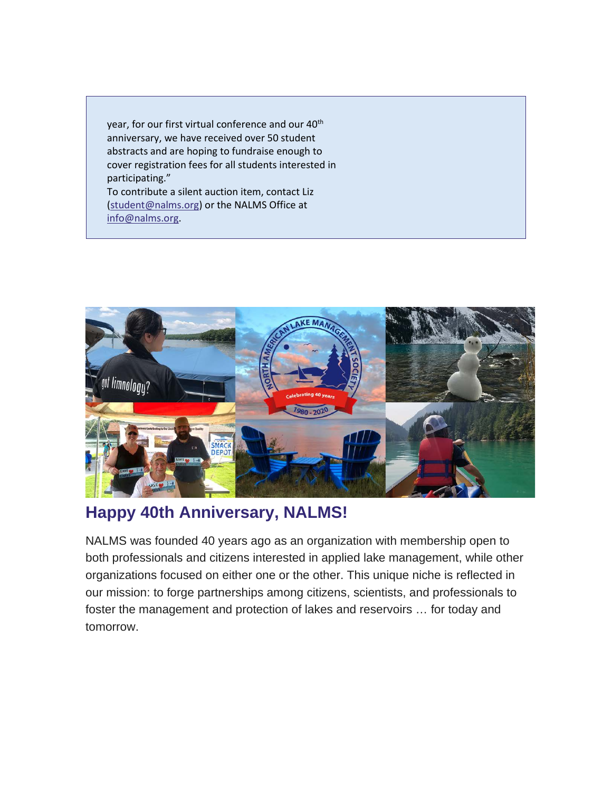year, for our first virtual conference and our 40<sup>th</sup> anniversary, we have received over 50 student abstracts and are hoping to fundraise enough to cover registration fees for all students interested in participating."

To contribute a silent auction item, contact Liz [\(student@nalms.org\)](mailto:student@nalms.org) or the NALMS Office at [info@nalms.org.](mailto:info@nalms.org)



## **Happy 40th Anniversary, NALMS!**

NALMS was founded 40 years ago as an organization with membership open to both professionals and citizens interested in applied lake management, while other organizations focused on either one or the other. This unique niche is reflected in our mission: to forge partnerships among citizens, scientists, and professionals to foster the management and protection of lakes and reservoirs … for today and tomorrow.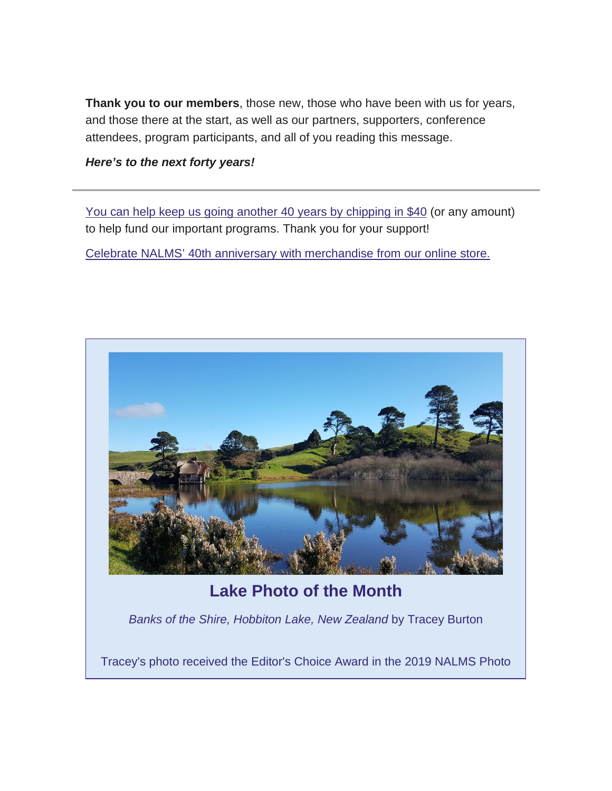**Thank you to our members**, those new, those who have been with us for years, and those there at the start, as well as our partners, supporters, conference attendees, program participants, and all of you reading this message.

*Here's to the next forty years!*

[You can help keep us going another 40 years by chipping in \\$40](https://urldefense.com/v3/__https:/nalms.us11.list-manage.com/track/click?u=dea191c828e06b171edfc6fe6&id=8c214c14ce&e=d5d3c21044__;!!HXCxUKc!jLWSOUJL1H9O2QZ7rSTv9F2ZIckE55Bb3HeiitJBJZPeO2139kD4p68Ati2-fGsp$) (or any amount) to help fund our important programs. Thank you for your support!

[Celebrate NALMS' 40th anniversary with merchandise from our online store.](https://urldefense.com/v3/__https:/nalms.us11.list-manage.com/track/click?u=dea191c828e06b171edfc6fe6&id=5286862502&e=d5d3c21044__;!!HXCxUKc!jLWSOUJL1H9O2QZ7rSTv9F2ZIckE55Bb3HeiitJBJZPeO2139kD4p68AtpCBTLlL$)



## **Lake Photo of the Month**

*Banks of the Shire, Hobbiton Lake, New Zealand* by Tracey Burton

Tracey's photo received the Editor's Choice Award in the 2019 NALMS Photo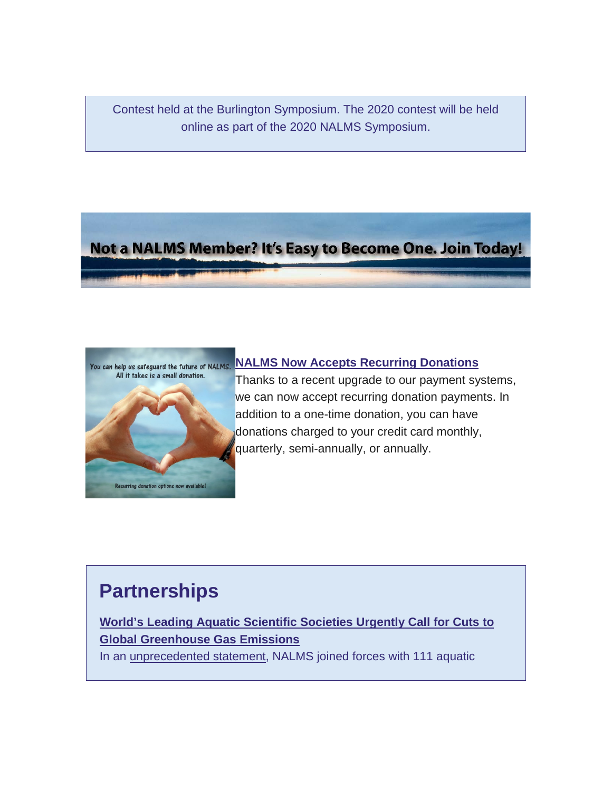Contest held at the Burlington Symposium. The 2020 contest will be held online as part of the 2020 NALMS Symposium.

## Not a NALMS Member? It's Easy to Become One. Join Today!



Thanks to a recent upgrade to our payment systems, we can now accept recurring donation payments. In addition to a one-time donation, you can have donations charged to your credit card monthly, quarterly, semi-annually, or annually.

**[NALMS Now Accepts Recurring Donations](https://urldefense.com/v3/__https:/nalms.us11.list-manage.com/track/click?u=dea191c828e06b171edfc6fe6&id=b3b34bf4d9&e=d5d3c21044__;!!HXCxUKc!jLWSOUJL1H9O2QZ7rSTv9F2ZIckE55Bb3HeiitJBJZPeO2139kD4p68AtqYVoIdQ$)**

# **Partnerships**

## **[World's Leading Aquatic Scientific Societies Urgently Call for Cuts to](https://urldefense.com/v3/__https:/nalms.us11.list-manage.com/track/click?u=dea191c828e06b171edfc6fe6&id=1a66dd1676&e=d5d3c21044__;!!HXCxUKc!jLWSOUJL1H9O2QZ7rSTv9F2ZIckE55Bb3HeiitJBJZPeO2139kD4p68Atr_V5-mv$)  [Global Greenhouse Gas Emissions](https://urldefense.com/v3/__https:/nalms.us11.list-manage.com/track/click?u=dea191c828e06b171edfc6fe6&id=1a66dd1676&e=d5d3c21044__;!!HXCxUKc!jLWSOUJL1H9O2QZ7rSTv9F2ZIckE55Bb3HeiitJBJZPeO2139kD4p68Atr_V5-mv$)**

In an [unprecedented statement,](https://urldefense.com/v3/__https:/nalms.us11.list-manage.com/track/click?u=dea191c828e06b171edfc6fe6&id=2410dbdb7e&e=d5d3c21044__;!!HXCxUKc!jLWSOUJL1H9O2QZ7rSTv9F2ZIckE55Bb3HeiitJBJZPeO2139kD4p68AttF5vlkZ$) NALMS joined forces with 111 aquatic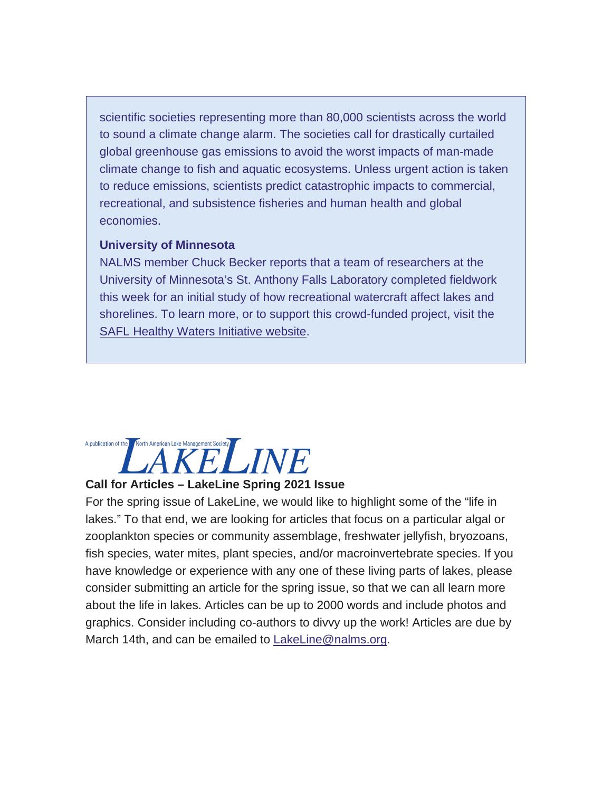scientific societies representing more than 80,000 scientists across the world to sound a climate change alarm. The societies call for drastically curtailed global greenhouse gas emissions to avoid the worst impacts of man-made climate change to fish and aquatic ecosystems. Unless urgent action is taken to reduce emissions, scientists predict catastrophic impacts to commercial, recreational, and subsistence fisheries and human health and global economies.

#### **University of Minnesota**

NALMS member Chuck Becker reports that a team of researchers at the University of Minnesota's St. Anthony Falls Laboratory completed fieldwork this week for an initial study of how recreational watercraft affect lakes and shorelines. To learn more, or to support this crowd-funded project, visit the **[SAFL Healthy Waters Initiative website.](https://urldefense.com/v3/__https:/nalms.us11.list-manage.com/track/click?u=dea191c828e06b171edfc6fe6&id=2bbdffcbef&e=d5d3c21044__;!!HXCxUKc!jLWSOUJL1H9O2QZ7rSTv9F2ZIckE55Bb3HeiitJBJZPeO2139kD4p68AtjfnRuM_$)** 

# Morth American Lake Management Society<br>AKELINE A publication of the

### **Call for Articles – LakeLine Spring 2021 Issue**

For the spring issue of LakeLine, we would like to highlight some of the "life in lakes." To that end, we are looking for articles that focus on a particular algal or zooplankton species or community assemblage, freshwater jellyfish, bryozoans, fish species, water mites, plant species, and/or macroinvertebrate species. If you have knowledge or experience with any one of these living parts of lakes, please consider submitting an article for the spring issue, so that we can all learn more about the life in lakes. Articles can be up to 2000 words and include photos and graphics. Consider including co-authors to divvy up the work! Articles are due by March 14th, and can be emailed to [LakeLine@nalms.org.](mailto:LakeLine@nalms.org)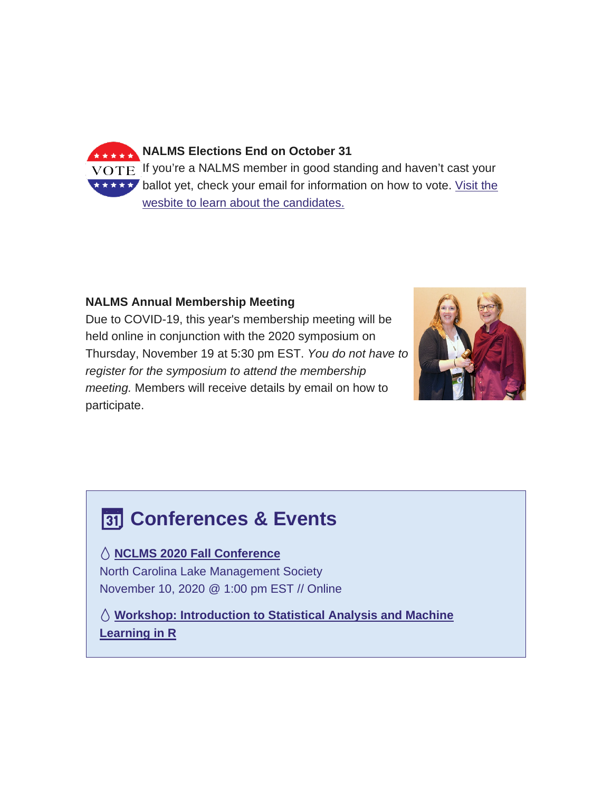

### **NALMS Annual Membership Meeting**

Due to COVID-19, this year's membership meeting will be held online in conjunction with the 2020 symposium on Thursday, November 19 at 5:30 pm EST. *You do not have to register for the symposium to attend the membership meeting.* Members will receive details by email on how to participate.



## **Conferences & Events**

### **[NCLMS 2020 Fall Conference](https://urldefense.com/v3/__https:/nalms.us11.list-manage.com/track/click?u=dea191c828e06b171edfc6fe6&id=809732b313&e=d5d3c21044__;!!HXCxUKc!jLWSOUJL1H9O2QZ7rSTv9F2ZIckE55Bb3HeiitJBJZPeO2139kD4p68AtkEHoKYK$)**

North Carolina Lake Management Society November 10, 2020 @ 1:00 pm EST // Online

 **[Workshop: Introduction to Statistical Analysis and Machine](https://urldefense.com/v3/__https:/nalms.us11.list-manage.com/track/click?u=dea191c828e06b171edfc6fe6&id=f8ee8bc089&e=d5d3c21044__;!!HXCxUKc!jLWSOUJL1H9O2QZ7rSTv9F2ZIckE55Bb3HeiitJBJZPeO2139kD4p68AtjgEqbeB$)  [Learning](https://urldefense.com/v3/__https:/nalms.us11.list-manage.com/track/click?u=dea191c828e06b171edfc6fe6&id=f8ee8bc089&e=d5d3c21044__;!!HXCxUKc!jLWSOUJL1H9O2QZ7rSTv9F2ZIckE55Bb3HeiitJBJZPeO2139kD4p68AtjgEqbeB$) in R**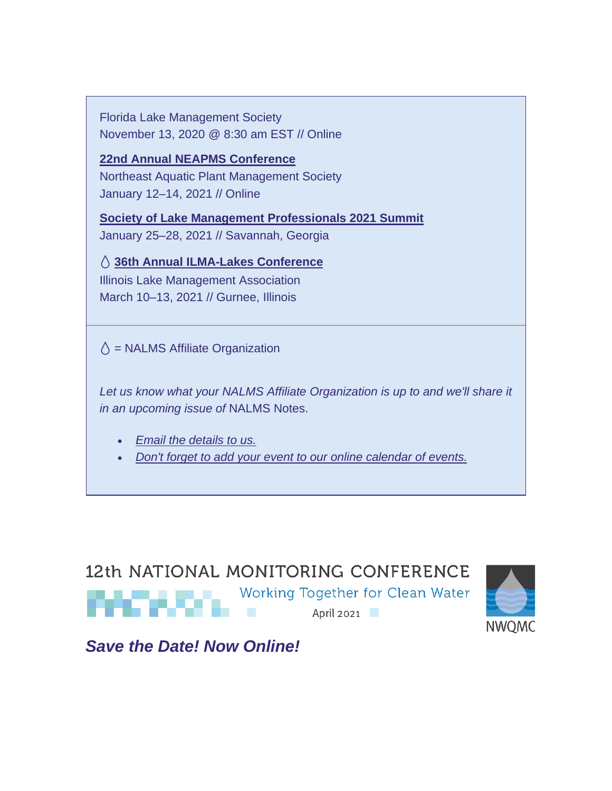Florida Lake Management Society November 13, 2020 @ 8:30 am EST // Online

**[22nd Annual NEAPMS Conference](https://urldefense.com/v3/__https:/nalms.us11.list-manage.com/track/click?u=dea191c828e06b171edfc6fe6&id=3cdf50da19&e=d5d3c21044__;!!HXCxUKc!jLWSOUJL1H9O2QZ7rSTv9F2ZIckE55Bb3HeiitJBJZPeO2139kD4p68AthL9bmCU$)** Northeast Aquatic Plant Management Society January 12–14, 2021 // Online

**[Society of Lake Management Professionals 2021 Summit](https://urldefense.com/v3/__https:/nalms.us11.list-manage.com/track/click?u=dea191c828e06b171edfc6fe6&id=8f2ea9e0b4&e=d5d3c21044__;!!HXCxUKc!jLWSOUJL1H9O2QZ7rSTv9F2ZIckE55Bb3HeiitJBJZPeO2139kD4p68Atnj_B0zH$)** January 25–28, 2021 // Savannah, Georgia

 **[36th Annual ILMA-Lakes Conference](https://urldefense.com/v3/__https:/nalms.us11.list-manage.com/track/click?u=dea191c828e06b171edfc6fe6&id=e7738b4756&e=d5d3c21044__;!!HXCxUKc!jLWSOUJL1H9O2QZ7rSTv9F2ZIckE55Bb3HeiitJBJZPeO2139kD4p68AtknBgTD7$)** Illinois Lake Management Association

March 10–13, 2021 // Gurnee, Illinois

 $\Diamond$  = NALMS Affiliate Organization

Let us know what your NALMS Affiliate Organization is up to and we'll share it *in an upcoming issue of* NALMS Notes.

- *[Email the details to us.](mailto:NALMSNotes@nalms.org)*
- *[Don't forget to add your event to our online calendar of events.](https://urldefense.com/v3/__https:/nalms.us11.list-manage.com/track/click?u=dea191c828e06b171edfc6fe6&id=e614543b7a&e=d5d3c21044__;!!HXCxUKc!jLWSOUJL1H9O2QZ7rSTv9F2ZIckE55Bb3HeiitJBJZPeO2139kD4p68Atu5FZ_YV$)*

# 12th NATIONAL MONITORING CONFERENCE Working Together for Clean Water April 2021



*Save the Date! Now Online!*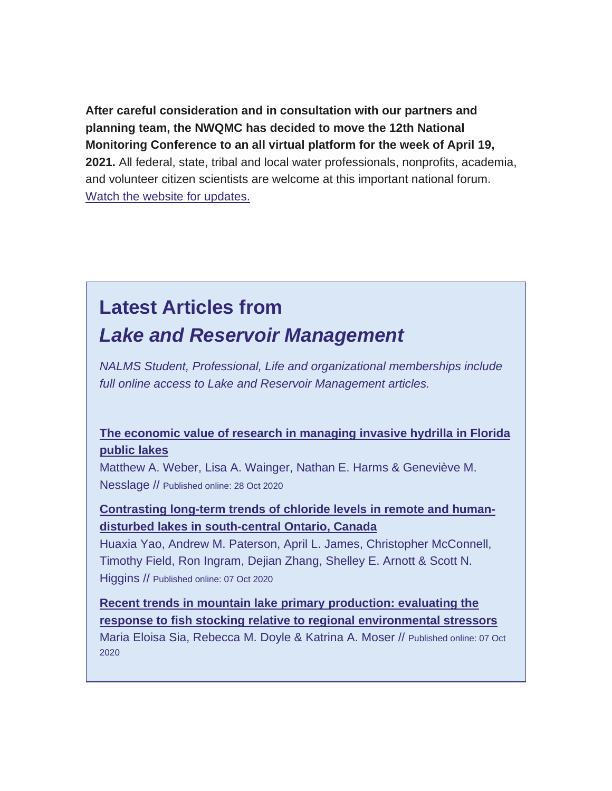**After careful consideration and in consultation with our partners and planning team, the NWQMC has decided to move the 12th National Monitoring Conference to an all virtual platform for the week of April 19, 2021.** All federal, state, tribal and local water professionals, nonprofits, academia, and volunteer citizen scientists are welcome at this important national forum. [Watch the website for updates.](https://urldefense.com/v3/__https:/nalms.us11.list-manage.com/track/click?u=dea191c828e06b171edfc6fe6&id=0d31c54612&e=d5d3c21044__;!!HXCxUKc!jLWSOUJL1H9O2QZ7rSTv9F2ZIckE55Bb3HeiitJBJZPeO2139kD4p68AtnruFMb0$)

# **Latest Articles from** *Lake and Reservoir Management*

*NALMS Student, Professional, Life and organizational memberships include full online access to Lake and Reservoir Management articles.*

### **[The economic value of research in managing invasive hydrilla in Florida](https://urldefense.com/v3/__https:/nalms.us11.list-manage.com/track/click?u=dea191c828e06b171edfc6fe6&id=9ceeabaa69&e=d5d3c21044__;!!HXCxUKc!jLWSOUJL1H9O2QZ7rSTv9F2ZIckE55Bb3HeiitJBJZPeO2139kD4p68Atplfk2fq$)  [public lakes](https://urldefense.com/v3/__https:/nalms.us11.list-manage.com/track/click?u=dea191c828e06b171edfc6fe6&id=9ceeabaa69&e=d5d3c21044__;!!HXCxUKc!jLWSOUJL1H9O2QZ7rSTv9F2ZIckE55Bb3HeiitJBJZPeO2139kD4p68Atplfk2fq$)**

Matthew A. Weber, Lisa A. Wainger, Nathan E. Harms & Geneviève M. Nesslage // Published online: 28 Oct 2020

### **[Contrasting long-term trends of chloride levels in remote and human](https://urldefense.com/v3/__https:/nalms.us11.list-manage.com/track/click?u=dea191c828e06b171edfc6fe6&id=f666f38839&e=d5d3c21044__;!!HXCxUKc!jLWSOUJL1H9O2QZ7rSTv9F2ZIckE55Bb3HeiitJBJZPeO2139kD4p68AtlU0eTTX$)[disturbed lakes in south-central Ontario, Canada](https://urldefense.com/v3/__https:/nalms.us11.list-manage.com/track/click?u=dea191c828e06b171edfc6fe6&id=f666f38839&e=d5d3c21044__;!!HXCxUKc!jLWSOUJL1H9O2QZ7rSTv9F2ZIckE55Bb3HeiitJBJZPeO2139kD4p68AtlU0eTTX$)**

Huaxia Yao, Andrew M. Paterson, April L. James, Christopher McConnell, Timothy Field, Ron Ingram, Dejian Zhang, Shelley E. Arnott & Scott N. Higgins // Published online: 07 Oct 2020

**[Recent trends in mountain lake primary production: evaluating the](https://urldefense.com/v3/__https:/nalms.us11.list-manage.com/track/click?u=dea191c828e06b171edfc6fe6&id=326ce91418&e=d5d3c21044__;!!HXCxUKc!jLWSOUJL1H9O2QZ7rSTv9F2ZIckE55Bb3HeiitJBJZPeO2139kD4p68AtkuvAjAD$)  [response to fish stocking relative to regional environmental stressors](https://urldefense.com/v3/__https:/nalms.us11.list-manage.com/track/click?u=dea191c828e06b171edfc6fe6&id=326ce91418&e=d5d3c21044__;!!HXCxUKc!jLWSOUJL1H9O2QZ7rSTv9F2ZIckE55Bb3HeiitJBJZPeO2139kD4p68AtkuvAjAD$)** Maria Eloisa Sia, Rebecca M. Doyle & Katrina A. Moser // Published online: 07 Oct 2020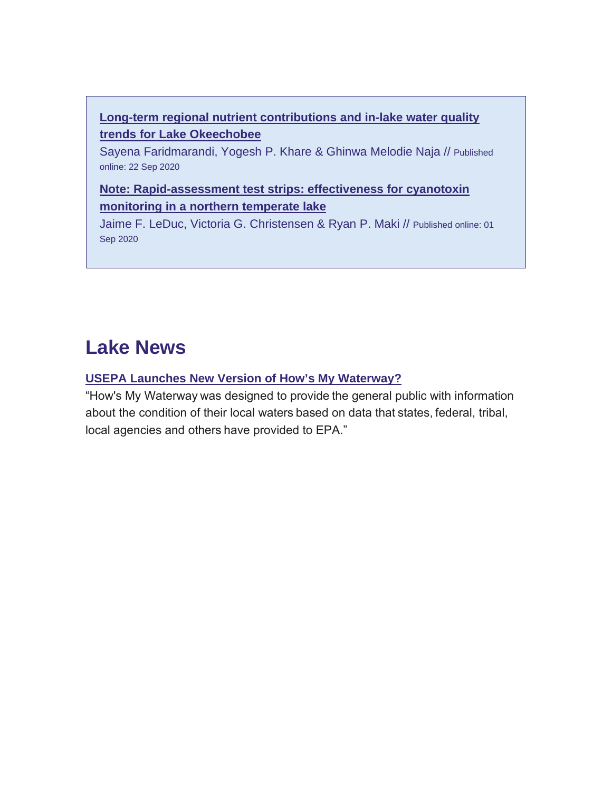## **[Long-term regional nutrient contributions and in-lake water quality](https://urldefense.com/v3/__https:/nalms.us11.list-manage.com/track/click?u=dea191c828e06b171edfc6fe6&id=b9dfe8cfae&e=d5d3c21044__;!!HXCxUKc!jLWSOUJL1H9O2QZ7rSTv9F2ZIckE55Bb3HeiitJBJZPeO2139kD4p68AtuAuYOIy$)  [trends for Lake Okeechobee](https://urldefense.com/v3/__https:/nalms.us11.list-manage.com/track/click?u=dea191c828e06b171edfc6fe6&id=b9dfe8cfae&e=d5d3c21044__;!!HXCxUKc!jLWSOUJL1H9O2QZ7rSTv9F2ZIckE55Bb3HeiitJBJZPeO2139kD4p68AtuAuYOIy$)**

Sayena Faridmarandi, Yogesh P. Khare & Ghinwa Melodie Naja // Published online: 22 Sep 2020

## **[Note: Rapid-assessment test strips: effectiveness for cyanotoxin](https://urldefense.com/v3/__https:/nalms.us11.list-manage.com/track/click?u=dea191c828e06b171edfc6fe6&id=d14afcaab1&e=d5d3c21044__;!!HXCxUKc!jLWSOUJL1H9O2QZ7rSTv9F2ZIckE55Bb3HeiitJBJZPeO2139kD4p68AtkiKiZWt$)  [monitoring in a northern temperate lake](https://urldefense.com/v3/__https:/nalms.us11.list-manage.com/track/click?u=dea191c828e06b171edfc6fe6&id=d14afcaab1&e=d5d3c21044__;!!HXCxUKc!jLWSOUJL1H9O2QZ7rSTv9F2ZIckE55Bb3HeiitJBJZPeO2139kD4p68AtkiKiZWt$)**

Jaime F. LeDuc, Victoria G. Christensen & Ryan P. Maki // Published online: 01 Sep 2020

# **Lake News**

### **[USEPA Launches New Version of How's My Waterway?](https://urldefense.com/v3/__https:/nalms.us11.list-manage.com/track/click?u=dea191c828e06b171edfc6fe6&id=59d426d7fd&e=d5d3c21044__;!!HXCxUKc!jLWSOUJL1H9O2QZ7rSTv9F2ZIckE55Bb3HeiitJBJZPeO2139kD4p68Atni68pa0$)**

"How's My Waterway was designed to provide the general public with information about the condition of their local waters based on data that states, federal, tribal, local agencies and others have provided to EPA."